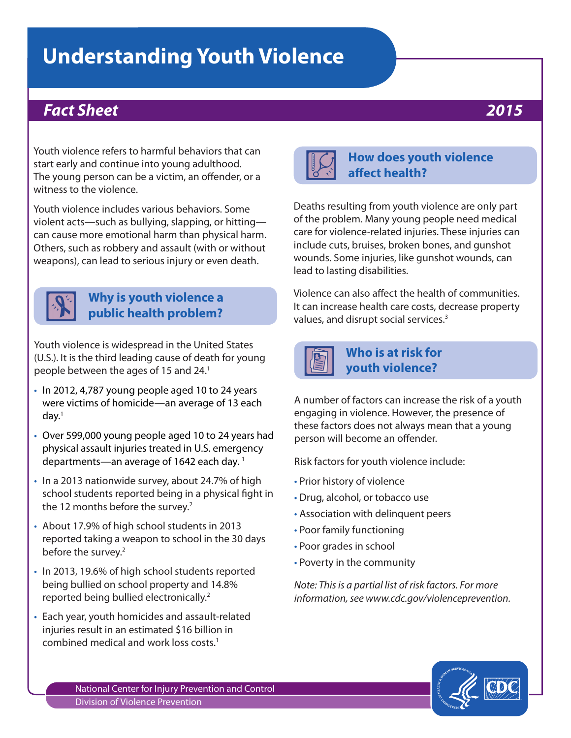# **Understanding Youth Violence**

# *Fact Sheet 2015*

Youth violence refers to harmful behaviors that can start early and continue into young adulthood. The young person can be a victim, an offender, or a witness to the violence.

Youth violence includes various behaviors. Some violent acts—such as bullying, slapping, or hitting can cause more emotional harm than physical harm. Others, such as robbery and assault (with or without weapons), can lead to serious injury or even death.



# **Why is youth violence a public health problem?**

Youth violence is widespread in the United States (U.S.). It is the third leading cause of death for young people between the ages of 15 and 24.<sup>1</sup>

- In 2012, 4,787 young people aged 10 to 24 years were victims of homicide—an average of 13 each  $d$ ay. $1$
- Over 599,000 young people aged 10 to 24 years had physical assault injuries treated in U.S. emergency departments—an average of 1642 each day.<sup>1</sup>
- In a 2013 nationwide survey, about 24.7% of high school students reported being in a physical fight in the 12 months before the survey.<sup>2</sup>
- About 17.9% of high school students in 2013 reported taking a weapon to school in the 30 days before the survey.<sup>2</sup>
- In 2013, 19.6% of high school students reported being bullied on school property and 14.8% reported being bullied electronically.2
- Each year, youth homicides and assault-related injuries result in an estimated \$16 billion in combined medical and work loss costs.1



# **How does youth violence affect health?**

Deaths resulting from youth violence are only part of the problem. Many young people need medical care for violence-related injuries. These injuries can include cuts, bruises, broken bones, and gunshot wounds. Some injuries, like gunshot wounds, can lead to lasting disabilities.

Violence can also affect the health of communities. It can increase health care costs, decrease property values, and disrupt social services.<sup>3</sup>



# **Who is at risk for youth violence?**

A number of factors can increase the risk of a youth engaging in violence. However, the presence of these factors does not always mean that a young person will become an offender.

Risk factors for youth violence include:

- Prior history of violence
- Drug, alcohol, or tobacco use
- Association with delinquent peers
- Poor family functioning
- Poor grades in school
- Poverty in the community

*Note: This is a partial list of risk factors. For more information, see www.cdc.gov/violenceprevention.*



National Center for Injury Prevention and Control Division of Violence Prevention